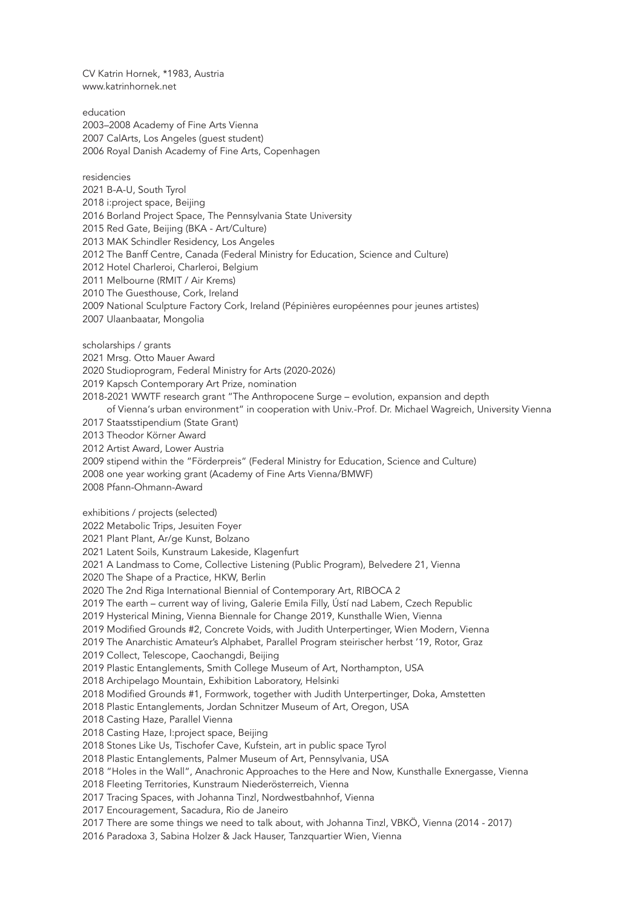CV Katrin Hornek, \*1983, Austria www.katrinhornek.net

education 2003–2008 Academy of Fine Arts Vienna 2007 CalArts, Los Angeles (guest student) 2006 Royal Danish Academy of Fine Arts, Copenhagen

residencies 2021 B-A-U, South Tyrol 2018 i:project space, Beijing 2016 Borland Project Space, The Pennsylvania State University 2015 Red Gate, Beijing (BKA - Art/Culture) 2013 MAK Schindler Residency, Los Angeles 2012 The Banff Centre, Canada (Federal Ministry for Education, Science and Culture) 2012 Hotel Charleroi, Charleroi, Belgium 2011 Melbourne (RMIT / Air Krems) 2010 The Guesthouse, Cork, Ireland 2009 National Sculpture Factory Cork, Ireland (Pépinières européennes pour jeunes artistes)

2007 Ulaanbaatar, Mongolia

scholarships / grants

2021 Mrsg. Otto Mauer Award

2020 Studioprogram, Federal Ministry for Arts (2020-2026)

2019 Kapsch Contemporary Art Prize, nomination

2018-2021 WWTF research grant "The Anthropocene Surge – evolution, expansion and depth

of Vienna's urban environment" in cooperation with Univ.-Prof. Dr. Michael Wagreich, University Vienna

2017 Staatsstipendium (State Grant)

2013 Theodor Körner Award

2012 Artist Award, Lower Austria

2009 stipend within the "Förderpreis" (Federal Ministry for Education, Science and Culture)

2008 one year working grant (Academy of Fine Arts Vienna/BMWF)

2008 Pfann-Ohmann-Award

exhibitions / projects (selected)

2022 Metabolic Trips, Jesuiten Foyer

2021 Plant Plant, Ar/ge Kunst, Bolzano

2021 Latent Soils, Kunstraum Lakeside, Klagenfurt

2021 A Landmass to Come, Collective Listening (Public Program), Belvedere 21, Vienna

2020 The Shape of a Practice, HKW, Berlin

2020 The 2nd Riga International Biennial of Contemporary Art, RIBOCA 2

2019 The earth – current way of living, Galerie Emila Filly, Ústí nad Labem, Czech Republic

2019 Hysterical Mining, Vienna Biennale for Change 2019, Kunsthalle Wien, Vienna

2019 Modified Grounds #2, Concrete Voids, with Judith Unterpertinger, Wien Modern, Vienna

2019 The Anarchistic Amateur's Alphabet, Parallel Program steirischer herbst '19, Rotor, Graz

2019 Collect, Telescope, Caochangdi, Beijing

2019 Plastic Entanglements, Smith College Museum of Art, Northampton, USA

2018 Archipelago Mountain, Exhibition Laboratory, Helsinki

2018 Modified Grounds #1, Formwork, together with Judith Unterpertinger, Doka, Amstetten

2018 Plastic Entanglements, Jordan Schnitzer Museum of Art, Oregon, USA

2018 Casting Haze, Parallel Vienna

2018 Casting Haze, I:project space, Beijing

2018 Stones Like Us, Tischofer Cave, Kufstein, art in public space Tyrol

2018 Plastic Entanglements, Palmer Museum of Art, Pennsylvania, USA

2018 "Holes in the Wall", Anachronic Approaches to the Here and Now, Kunsthalle Exnergasse, Vienna

2018 Fleeting Territories, Kunstraum Niederösterreich, Vienna

2017 Tracing Spaces, with Johanna Tinzl, Nordwestbahnhof, Vienna

2017 Encouragement, Sacadura, Rio de Janeiro

2017 There are some things we need to talk about, with Johanna Tinzl, VBKÖ, Vienna (2014 - 2017)

2016 Paradoxa 3, Sabina Holzer & Jack Hauser, Tanzquartier Wien, Vienna